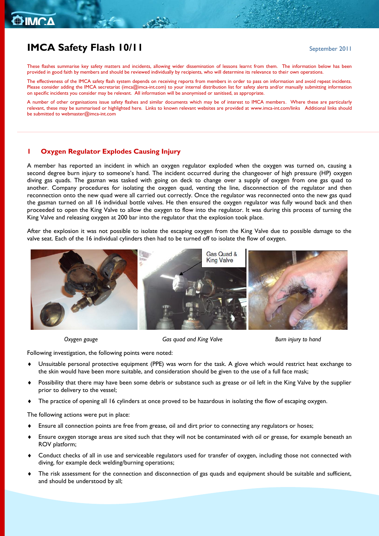## **IMCA Safety Flash 10/11** September 2011

These flashes summarise key safety matters and incidents, allowing wider dissemination of lessons learnt from them. The information below has been provided in good faith by members and should be reviewed individually by recipients, who will determine its relevance to their own operations.

The effectiveness of the IMCA safety flash system depends on receiving reports from members in order to pass on information and avoid repeat incidents. Please consider adding the IMCA secretariat [\(imca@imca-int.com\)](mailto:imca@imca-int.com) to your internal distribution list for safety alerts and/or manually submitting information on specific incidents you consider may be relevant. All information will be anonymised or sanitised, as appropriate.

A number of other organisations issue safety flashes and similar documents which may be of interest to IMCA members. Where these are particularly relevant, these may be summarised or highlighted here. Links to known relevant websites are provided at [www.imca-int.com/links](http://www.imca-int.com/links) Additional links should be submitted t[o webmaster@imca-int.com](mailto:webmaster@imca-int.com)

### **1 Oxygen Regulator Explodes Causing Injury**

A member has reported an incident in which an oxygen regulator exploded when the oxygen was turned on, causing a second degree burn injury to someone's hand. The incident occurred during the changeover of high pressure (HP) oxygen diving gas quads. The gasman was tasked with going on deck to change over a supply of oxygen from one gas quad to another. Company procedures for isolating the oxygen quad, venting the line, disconnection of the regulator and then reconnection onto the new quad were all carried out correctly. Once the regulator was reconnected onto the new gas quad the gasman turned on all 16 individual bottle valves. He then ensured the oxygen regulator was fully wound back and then proceeded to open the King Valve to allow the oxygen to flow into the regulator. It was during this process of turning the King Valve and releasing oxygen at 200 bar into the regulator that the explosion took place.

After the explosion it was not possible to isolate the escaping oxygen from the King Valve due to possible damage to the valve seat. Each of the 16 individual cylinders then had to be turned off to isolate the flow of oxygen.



 *Oxygen gauge Gas quad and King Valve Burn injury to hand*

Following investigation, the following points were noted:

- Unsuitable personal protective equipment (PPE) was worn for the task. A glove which would restrict heat exchange to the skin would have been more suitable, and consideration should be given to the use of a full face mask;
- Possibility that there may have been some debris or substance such as grease or oil left in the King Valve by the supplier prior to delivery to the vessel;
- The practice of opening all 16 cylinders at once proved to be hazardous in isolating the flow of escaping oxygen.

The following actions were put in place:

- Ensure all connection points are free from grease, oil and dirt prior to connecting any regulators or hoses;
- Ensure oxygen storage areas are sited such that they will not be contaminated with oil or grease, for example beneath an ROV platform;
- Conduct checks of all in use and serviceable regulators used for transfer of oxygen, including those not connected with diving, for example deck welding/burning operations;
- The risk assessment for the connection and disconnection of gas quads and equipment should be suitable and sufficient, and should be understood by all;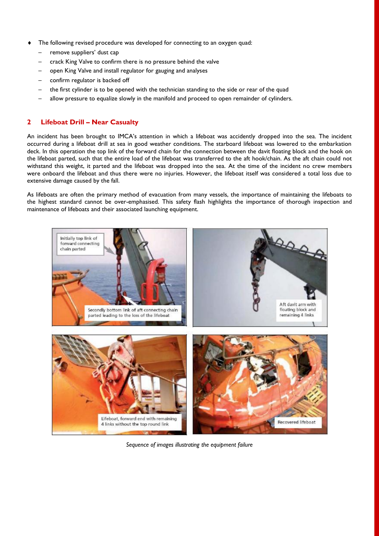- The following revised procedure was developed for connecting to an oxygen quad:
	- remove suppliers' dust cap
	- crack King Valve to confirm there is no pressure behind the valve
	- open King Valve and install regulator for gauging and analyses
	- confirm regulator is backed off
	- the first cylinder is to be opened with the technician standing to the side or rear of the quad
	- allow pressure to equalize slowly in the manifold and proceed to open remainder of cylinders.

### **2 Lifeboat Drill – Near Casualty**

An incident has been brought to IMCA's attention in which a lifeboat was accidently dropped into the sea. The incident occurred during a lifeboat drill at sea in good weather conditions. The starboard lifeboat was lowered to the embarkation deck. In this operation the top link of the forward chain for the connection between the davit floating block and the hook on the lifeboat parted, such that the entire load of the lifeboat was transferred to the aft hook/chain. As the aft chain could not withstand this weight, it parted and the lifeboat was dropped into the sea. At the time of the incident no crew members were onboard the lifeboat and thus there were no injuries. However, the lifeboat itself was considered a total loss due to extensive damage caused by the fall.

As lifeboats are often the primary method of evacuation from many vessels, the importance of maintaining the lifeboats to the highest standard cannot be over-emphasised. This safety flash highlights the importance of thorough inspection and maintenance of lifeboats and their associated launching equipment.



*Sequence of images illustrating the equipment failure*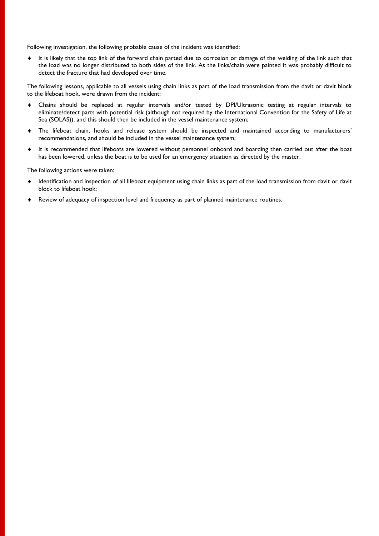Following investigation, the following probable cause of the incident was identified:

It is likely that the top link of the forward chain parted due to corrosion or damage of the welding of the link such that the load was no longer distributed to both sides of the link. As the links/chain were painted it was probably difficult to detect the fracture that had developed over time.

The following lessons, applicable to all vessels using chain links as part of the load transmission from the davit or davit block to the lifeboat hook, were drawn from the incident:

- Chains should be replaced at regular intervals and/or tested by DPI/Ultrasonic testing at regular intervals to eliminate/detect parts with potential risk (although not required by the International Convention for the Safety of Life at Sea (SOLAS)), and this should then be included in the vessel maintenance system;
- The lifeboat chain, hooks and release system should be inspected and maintained according to manufacturers' recommendations, and should be included in the vessel maintenance system;
- It is recommended that lifeboats are lowered without personnel onboard and boarding then carried out after the boat has been lowered, unless the boat is to be used for an emergency situation as directed by the master.

The following actions were taken:

- Identification and inspection of all lifeboat equipment using chain links as part of the load transmission from davit or davit block to lifeboat hook;
- Review of adequacy of inspection level and frequency as part of planned maintenance routines.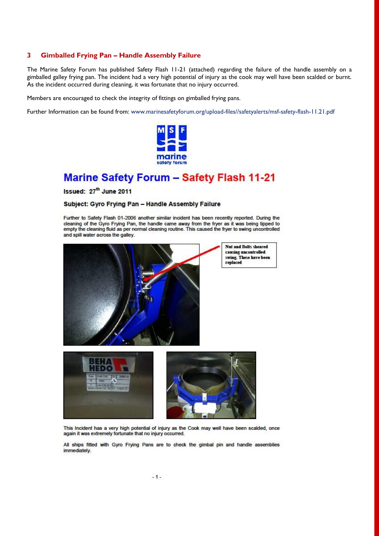### **3 Gimballed Frying Pan – Handle Assembly Failure**

The Marine Safety Forum has published Safety Flash 11-21 (attached) regarding the failure of the handle assembly on a gimballed galley frying pan. The incident had a very high potential of injury as the cook may well have been scalded or burnt. As the incident occurred during cleaning, it was fortunate that no injury occurred.

Members are encouraged to check the integrity of fittings on gimballed frying pans.

Further Information can be found from: [www.marinesafetyforum.org/upload-files//safetyalerts/msf-safety-flash-11.21.pdf](http://www.marinesafetyforum.org/upload-files/safetyalerts/msf-safety-flash-11.21.pdf)



## **Marine Safety Forum - Safety Flash 11-21**

Issued: 27<sup>th</sup> June 2011

### Subject: Gyro Frying Pan - Handle Assembly Failure

Further to Safety Flash 01-2006 another similar incident has been recently reported. During the cleaning of the Gyro Frying Pan, the handle came away from the fryer as it was being tipped to empty the cleaning fluid as per normal cleaning routine. This caused the fryer to swing uncontrolled and spill water across the galley.



This Incident has a very high potential of injury as the Cook may well have been scalded, once again it was extremely fortunate that no injury occurred.

All ships fitted with Gyro Frying Pans are to check the gimbal pin and handle assemblies immediately.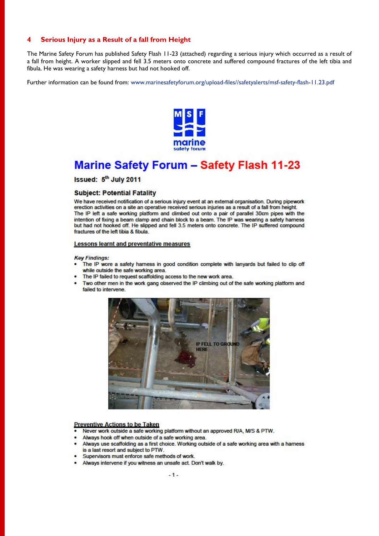#### Serious Injury as a Result of a fall from Height  $\overline{\mathbf{4}}$

The Marine Safety Forum has published Safety Flash 11-23 (attached) regarding a serious injury which occurred as a result of a fall from height. A worker slipped and fell 3.5 meters onto concrete and suffered compound fractures of the left tibia and fibula. He was wearing a safety harness but had not hooked off.

Further information can be found from: www.marinesafetyforum.org/upload-files//safetyalerts/msf-safety-flash-11.23.pdf



# **Marine Safety Forum - Safety Flash 11-23**

Issued: 5<sup>th</sup> July 2011

### **Subject: Potential Fatality**

We have received notification of a serious injury event at an external organisation. During pipework erection activities on a site an operative received serious injuries as a result of a fall from height. The IP left a safe working platform and climbed out onto a pair of parallel 30cm pipes with the intention of fixing a beam clamp and chain block to a beam. The IP was wearing a safety harness but had not hooked off. He slipped and fell 3.5 meters onto concrete. The IP suffered compound fractures of the left tibia & fibula.

### **Lessons learnt and preventative measures**

### **Key Findings:**

- The IP wore a safety harness in good condition complete with lanyards but failed to clip off while outside the safe working area.
- The IP failed to request scaffolding access to the new work area.
- Two other men in the work gang observed the IP climbing out of the safe working platform and failed to intervene.



### **Preventive Actions to be Taken**

- Never work outside a safe working platform without an approved R/A, M/S & PTW.
- Always hook off when outside of a safe working area.
- Always use scaffolding as a first choice. Working outside of a safe working area with a harness
- is a last resort and subject to PTW.
- Supervisors must enforce safe methods of work.
- Always intervene if you witness an unsafe act. Don't walk by.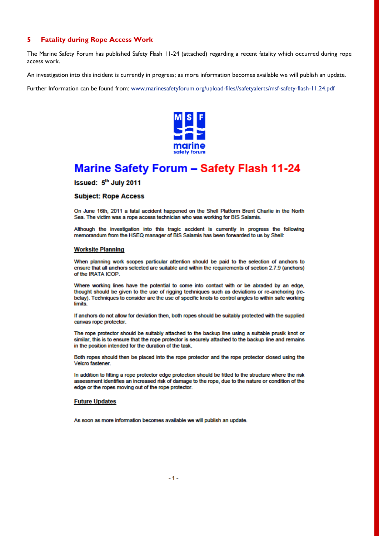#### **Fatality during Rope Access Work** 5

The Marine Safety Forum has published Safety Flash 11-24 (attached) regarding a recent fatality which occurred during rope access work.

An investigation into this incident is currently in progress; as more information becomes available we will publish an update.

Further Information can be found from: www.marinesafetyforum.org/upload-files//safetyalerts/msf-safety-flash-11.24.pdf



# **Marine Safety Forum - Safety Flash 11-24**

Issued: 5<sup>th</sup> July 2011

### **Subject: Rope Access**

On June 16th, 2011 a fatal accident happened on the Shell Platform Brent Charlie in the North Sea. The victim was a rope access technician who was working for BIS Salamis.

Although the investigation into this tragic accident is currently in progress the following memorandum from the HSEQ manager of BIS Salamis has been forwarded to us by Shell:

### **Worksite Planning**

When planning work scopes particular attention should be paid to the selection of anchors to ensure that all anchors selected are suitable and within the requirements of section 2.7.9 (anchors) of the IRATA ICOP.

Where working lines have the potential to come into contact with or be abraded by an edge, thought should be given to the use of rigging techniques such as deviations or re-anchoring (rebelay). Techniques to consider are the use of specific knots to control angles to within safe working limits.

If anchors do not allow for deviation then, both ropes should be suitably protected with the supplied canvas rope protector.

The rope protector should be suitably attached to the backup line using a suitable prusik knot or similar, this is to ensure that the rope protector is securely attached to the backup line and remains in the position intended for the duration of the task.

Both ropes should then be placed into the rope protector and the rope protector closed using the Velcro fastener.

In addition to fitting a rope protector edge protection should be fitted to the structure where the risk assessment identifies an increased risk of damage to the rope, due to the nature or condition of the edge or the ropes moving out of the rope protector.

### **Future Updates**

As soon as more information becomes available we will publish an update.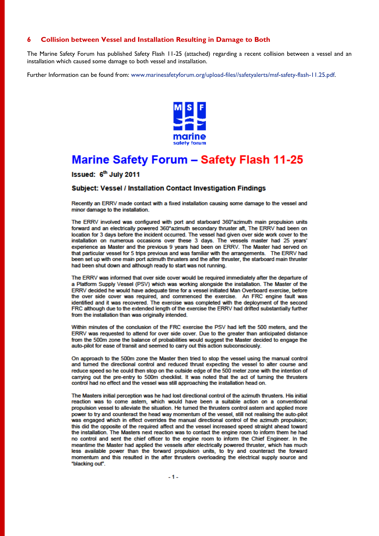#### 6 **Collision between Vessel and Installation Resulting in Damage to Both**

The Marine Safety Forum has published Safety Flash 11-25 (attached) regarding a recent collision between a vessel and an installation which caused some damage to both vessel and installation.

Further Information can be found from: www.marinesafetyforum.org/upload-files//safetyalerts/msf-safety-flash-11.25.pdf.



## **Marine Safety Forum - Safety Flash 11-25**

Issued: 6<sup>th</sup> July 2011

### Subject: Vessel / Installation Contact Investigation Findings

Recently an ERRV made contact with a fixed installation causing some damage to the vessel and minor damage to the installation.

The ERRV involved was configured with port and starboard 360° azimuth main propulsion units forward and an electrically powered 360°azimuth secondary thruster aft, The ERRV had been on location for 3 days before the incident occurred. The vessel had given over side work cover to the installation on numerous occasions over these 3 days. The vessels master had 25 years' experience as Master and the previous 9 years had been on ERRV. The Master had served on that particular vessel for 5 trips previous and was familiar with the arrangements. The ERRV had been set up with one main port azimuth thrusters and the after thruster, the starboard main thruster had been shut down and although ready to start was not running.

The ERRV was informed that over side cover would be required immediately after the departure of a Platform Supply Vessel (PSV) which was working alongside the installation. The Master of the ERRV decided he would have adequate time for a vessel initiated Man Overboard exercise, before the over side cover was required, and commenced the exercise. An FRC engine fault was identified and it was recovered. The exercise was completed with the deployment of the second FRC although due to the extended length of the exercise the ERRV had drifted substantially further from the installation than was originally intended.

Within minutes of the conclusion of the FRC exercise the PSV had left the 500 meters, and the ERRV was requested to attend for over side cover. Due to the greater than anticipated distance from the 500m zone the balance of probabilities would suggest the Master decided to engage the auto-pilot for ease of transit and seemed to carry out this action subconsciously.

On approach to the 500m zone the Master then tried to stop the vessel using the manual control and turned the directional control and reduced thrust expecting the vessel to alter course and reduce speed so he could then stop on the outside edge of the 500 meter zone with the intention of carrying out the pre-entry to 500m checklist. It was noted that the act of turning the thrusters control had no effect and the vessel was still approaching the installation head on.

The Masters initial perception was he had lost directional control of the azimuth thrusters. His initial reaction was to come astern, which would have been a suitable action on a conventional propulsion vessel to alleviate the situation. He turned the thrusters control astern and applied more power to try and counteract the head way momentum of the vessel, still not realising the auto-pilot was engaged which in effect overrides the manual directional control of the azimuth propulsion; this did the opposite of the required affect and the vessel increased speed straight ahead toward the installation. The Masters next reaction was to contact the engine room to inform them he had no control and sent the chief officer to the engine room to inform the Chief Engineer. In the meantime the Master had applied the vessels after electrically powered thruster, which has much less available power than the forward propulsion units, to try and counteract the forward momentum and this resulted in the after thrusters overloading the electrical supply source and "blacking out".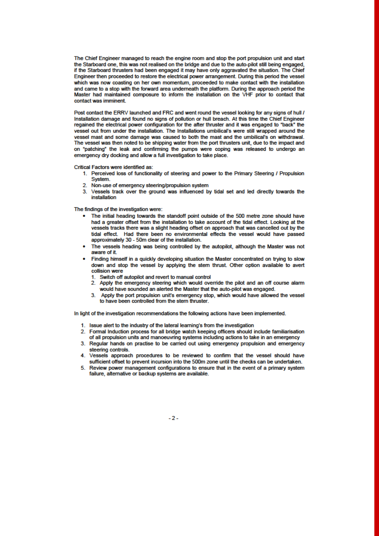The Chief Engineer managed to reach the engine room and stop the port propulsion unit and start the Starboard one, this was not realised on the bridge and due to the auto-pilot still being engaged, if the Starboard thrusters had been engaged it may have only aggravated the situation. The Chief Engineer then proceeded to restore the electrical power arrangement. During this period the vessel which was now coasting on her own momentum, proceeded to make contact with the installation and came to a stop with the forward area underneath the platform. During the approach period the Master had maintained composure to inform the installation on the VHF prior to contact that contact was imminent.

Post contact the ERRV launched and FRC and went round the vessel looking for any signs of hull / Installation damage and found no signs of pollution or hull breach. At this time the Chief Engineer reqained the electrical power configuration for the after thruster and it was engaged to "back" the vessel out from under the installation. The Installations umbilical's were still wrapped around the vessel mast and some damage was caused to both the mast and the umbilical's on withdrawal. The vessel was then noted to be shipping water from the port thrusters unit, due to the impact and on "patching" the leak and confirming the pumps were coping was released to undergo an emergency dry docking and allow a full investigation to take place.

Critical Factors were identified as:

- 1. Perceived loss of functionality of steering and power to the Primary Steering / Propulsion System.
	- 2. Non-use of emergency steering/propulsion system
	- 3. Vessels track over the ground was influenced by tidal set and led directly towards the installation

The findings of the investigation were:

- The initial heading towards the standoff point outside of the 500 metre zone should have had a greater offset from the installation to take account of the tidal effect. Looking at the vessels tracks there was a slight heading offset on approach that was cancelled out by the tidal effect. Had there been no environmental effects the vessel would have passed approximately 30 - 50m clear of the installation.
- The vessels heading was being controlled by the autopilot, although the Master was not aware of it.
- Finding himself in a quickly developing situation the Master concentrated on trying to slow down and stop the vessel by applying the stem thrust. Other option available to avert collision were
	- 1. Switch off autopilot and revert to manual control
	- 2. Apply the emergency steering which would override the pilot and an off course alarm would have sounded an alerted the Master that the auto-pilot was engaged.
	- 3. Apply the port propulsion unit's emergency stop, which would have allowed the vessel to have been controlled from the stern thruster.

In light of the investigation recommendations the following actions have been implemented.

- 1. Issue alert to the industry of the lateral learning's from the investigation
- 2. Formal Induction process for all bridge watch keeping officers should include familiarisation of all propulsion units and manoeuvring systems including actions to take in an emergency
- 3. Regular hands on practise to be carried out using emergency propulsion and emergency steering controls.
- 4. Vessels approach procedures to be reviewed to confirm that the vessel should have sufficient offset to prevent incursion into the 500m zone until the checks can be undertaken.
- 5. Review power management configurations to ensure that in the event of a primary system failure, alternative or backup systems are available.

 $-2-$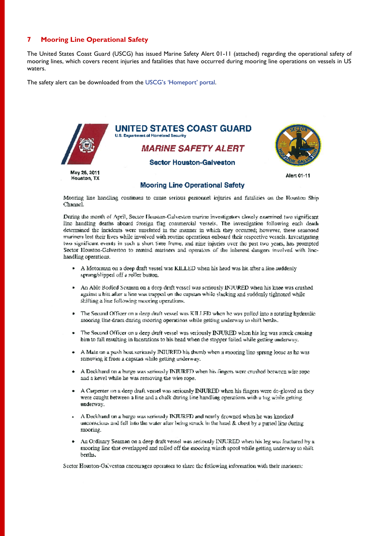#### **Mooring Line Operational Safety**  $\overline{7}$

The United States Coast Guard (USCG) has issued Marine Safety Alert 01-11 (attached) regarding the operational safety of mooring lines, which covers recent injuries and fatalities that have occurred during mooring line operations on vessels in US waters

The safety alert can be downloaded from the USCG's 'Homeport' portal.



Mooring line handling continues to cause serious personnel injuries and fatalities on the Houston Ship Channel.

During the month of April, Sector Houston-Galveston marine investigators closely examined (wo significant line handling deaths aboard foreign flag commercial vessels. The investigation following each death determined the incidents were unrelated in the manner in which they occurred; however, these seasoned mariners lost their lives while involved with routine operations onboard their respective vessels. Investigating two significant events in such a short time frame, and nine injuries over the past two years, has prompted Sector Houston-Galveston to remind mariners and operators of the inherent dangers involved with linehandling operations.

- A Motorman on a deep draft vessel was KILLED when his head was hit after a line suddenly spring/slipped off a roller button.
- An Able Bodied Scaman on a deep draft vessel was scriously INJURED when his knee was crushed against a hitt after a line was trapped on the capstan while slacking and suddenly tightened while shifting a line following mooring operations.
- The Second Officer on a deep draft vessel was KILLED when he was pulled into a rotating hydraulic ٠ mooring line drum during mooring operations while getting underway to shift berths.
- The Second Officer on a deep draft vessel was seriously INJURED when his leg was struck causing bim to fall resulting in lacerations to his head when the stopper failed while getting underway.
- A Mate on a push hoat seriously INIURED his thumb when a mooring line sprong loose as he was removing it from a capstan while getting underway.
- $\bullet$  A Deckhand on a barge was seriously INJURED when his fingers were crushed between wire rope and a kevel while he was removing the wire rope.
- A Carpenter on a deep draft vessel was seriously INJURED when his fingers were de-gloved as they were caught between a line and a chalk during line handling operations with a tog while getting underway.
- $\sim$  A Deckhand on a barge was seriously INJURED and nearly drowned when he was knocked unconscious and fell into the water after heing struck in the head & chest by a parted line during mooring.
- An Ordinary Seaman on a deep draft vessel was seriously INJURED when his leg was fractured by a mooring line that overlapped and rolled off the mooring winch spool while getting underway to shift berths.

Sector Houston-Galveston encourages operators to share the following information with their mariners: